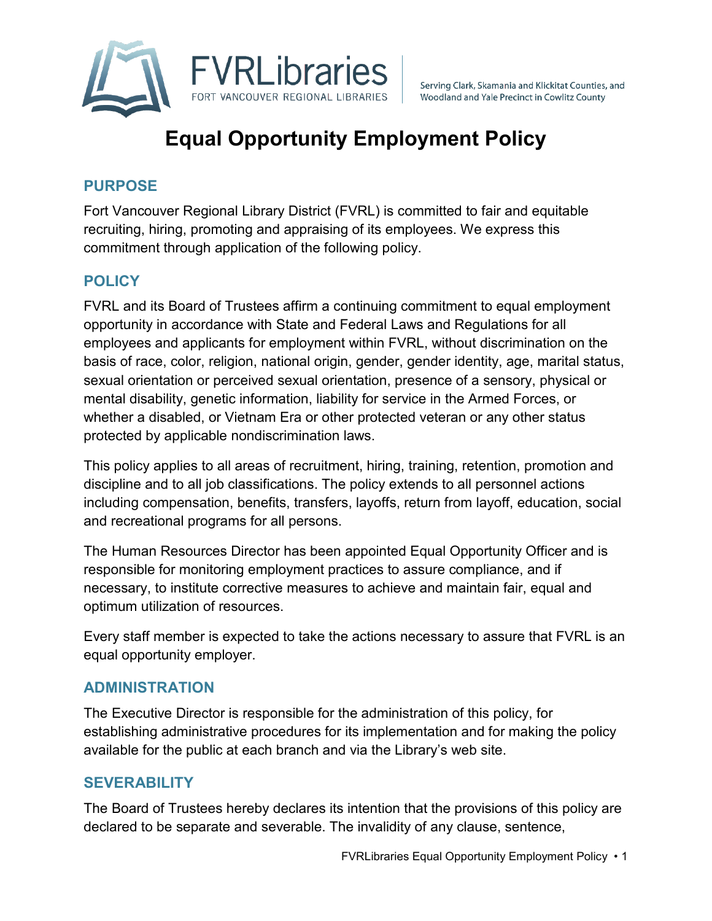

Serving Clark, Skamania and Klickitat Counties, and Woodland and Yale Precinct in Cowlitz County

# **Equal Opportunity Employment Policy**

## **PURPOSE**

Fort Vancouver Regional Library District (FVRL) is committed to fair and equitable recruiting, hiring, promoting and appraising of its employees. We express this commitment through application of the following policy.

# **POLICY**

FVRL and its Board of Trustees affirm a continuing commitment to equal employment opportunity in accordance with State and Federal Laws and Regulations for all employees and applicants for employment within FVRL, without discrimination on the basis of race, color, religion, national origin, gender, gender identity, age, marital status, sexual orientation or perceived sexual orientation, presence of a sensory, physical or mental disability, genetic information, liability for service in the Armed Forces, or whether a disabled, or Vietnam Era or other protected veteran or any other status protected by applicable nondiscrimination laws.

This policy applies to all areas of recruitment, hiring, training, retention, promotion and discipline and to all job classifications. The policy extends to all personnel actions including compensation, benefits, transfers, layoffs, return from layoff, education, social and recreational programs for all persons.

The Human Resources Director has been appointed Equal Opportunity Officer and is responsible for monitoring employment practices to assure compliance, and if necessary, to institute corrective measures to achieve and maintain fair, equal and optimum utilization of resources.

Every staff member is expected to take the actions necessary to assure that FVRL is an equal opportunity employer.

### **ADMINISTRATION**

The Executive Director is responsible for the administration of this policy, for establishing administrative procedures for its implementation and for making the policy available for the public at each branch and via the Library's web site.

### **SEVERABILITY**

The Board of Trustees hereby declares its intention that the provisions of this policy are declared to be separate and severable. The invalidity of any clause, sentence,